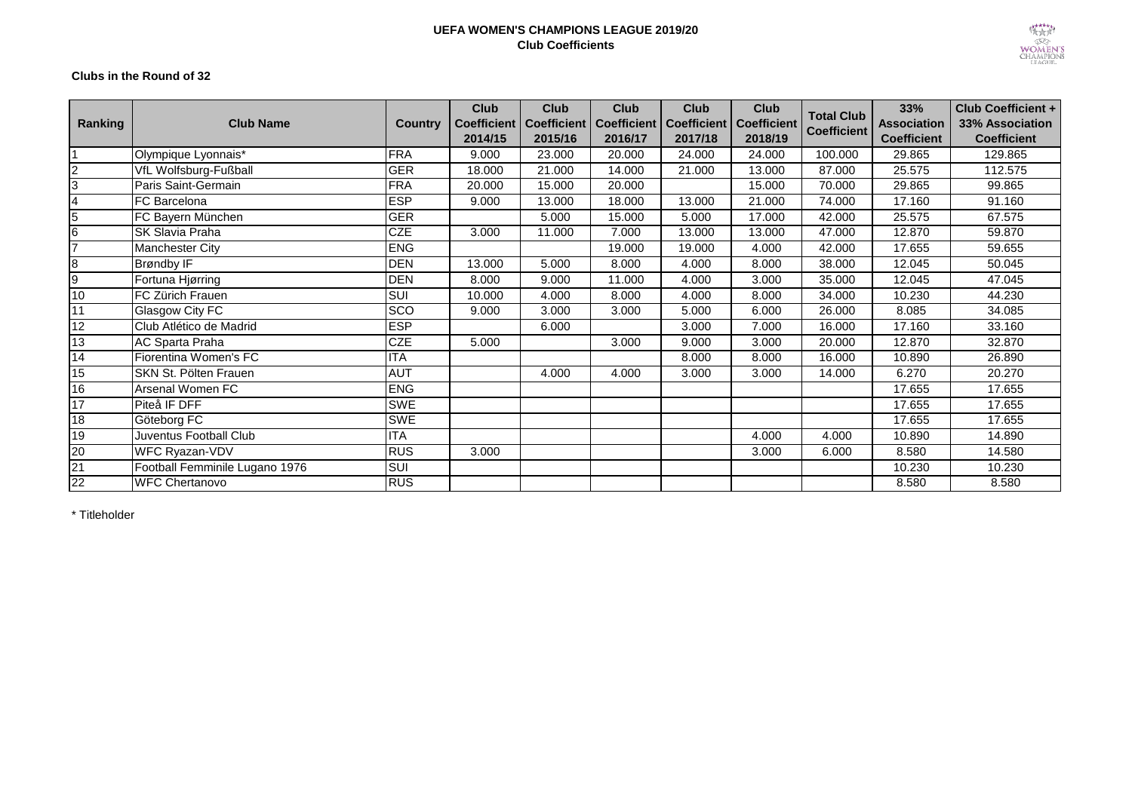## **UEFA WOMEN'S CHAMPIONS LEAGUE 2019/20 Club Coefficients**



## **Clubs in the Round of 32**

| Ranking         | <b>Club Name</b>               | <b>Country</b> | <b>Club</b><br><b>Coefficient</b><br>2014/15 | <b>Club</b><br><b>Coefficient   Coefficient</b><br>2015/16 | <b>Club</b><br>2016/17 | <b>Club</b><br><b>Coefficient</b><br>2017/18 | Club<br><b>Coefficient</b><br>2018/19 | <b>Total Club</b><br>Coefficient | 33%<br><b>Association</b><br><b>Coefficient</b> | <b>Club Coefficient +</b><br>33% Association<br><b>Coefficient</b> |
|-----------------|--------------------------------|----------------|----------------------------------------------|------------------------------------------------------------|------------------------|----------------------------------------------|---------------------------------------|----------------------------------|-------------------------------------------------|--------------------------------------------------------------------|
|                 | Olympique Lyonnais*            | <b>FRA</b>     | 9.000                                        | 23.000                                                     | 20.000                 | 24.000                                       | 24.000                                | 100.000                          | 29.865                                          | 129.865                                                            |
| $\overline{2}$  | VfL Wolfsburg-Fußball          | <b>GER</b>     | 18.000                                       | 21.000                                                     | 14.000                 | 21.000                                       | 13.000                                | 87.000                           | 25.575                                          | 112.575                                                            |
| 3               | Paris Saint-Germain            | <b>FRA</b>     | 20.000                                       | 15.000                                                     | 20.000                 |                                              | 15.000                                | 70.000                           | 29.865                                          | 99.865                                                             |
| $\overline{4}$  | FC Barcelona                   | <b>ESP</b>     | 9.000                                        | 13.000                                                     | 18.000                 | 13.000                                       | 21.000                                | 74.000                           | 17.160                                          | 91.160                                                             |
| 5               | FC Bayern München              | <b>GER</b>     |                                              | 5.000                                                      | 15.000                 | 5.000                                        | 17.000                                | 42.000                           | 25.575                                          | 67.575                                                             |
| 6               | SK Slavia Praha                | <b>CZE</b>     | 3.000                                        | 11.000                                                     | 7.000                  | 13.000                                       | 13.000                                | 47.000                           | 12.870                                          | 59.870                                                             |
| $\overline{7}$  | Manchester City                | <b>ENG</b>     |                                              |                                                            | 19.000                 | 19.000                                       | 4.000                                 | 42.000                           | 17.655                                          | 59.655                                                             |
| 8               | Brøndby IF                     | <b>DEN</b>     | 13.000                                       | 5.000                                                      | 8.000                  | 4.000                                        | 8.000                                 | 38,000                           | 12.045                                          | 50.045                                                             |
| 9               | Fortuna Hjørring               | <b>DEN</b>     | 8.000                                        | 9.000                                                      | 11.000                 | 4.000                                        | 3.000                                 | 35,000                           | 12.045                                          | 47.045                                                             |
| 10              | FC Zürich Frauen               | SUI            | 10.000                                       | 4.000                                                      | 8.000                  | 4.000                                        | 8.000                                 | 34.000                           | 10.230                                          | 44.230                                                             |
| 11              | <b>Glasgow City FC</b>         | <b>SCO</b>     | 9.000                                        | 3.000                                                      | 3.000                  | 5.000                                        | 6.000                                 | 26.000                           | 8.085                                           | 34.085                                                             |
| 12              | Club Atlético de Madrid        | <b>ESP</b>     |                                              | 6.000                                                      |                        | 3.000                                        | 7.000                                 | 16.000                           | 17.160                                          | 33.160                                                             |
| 13              | AC Sparta Praha                | <b>CZE</b>     | 5.000                                        |                                                            | 3.000                  | 9.000                                        | 3.000                                 | 20.000                           | 12.870                                          | 32.870                                                             |
| 14              | Fiorentina Women's FC          | <b>ITA</b>     |                                              |                                                            |                        | 8.000                                        | 8.000                                 | 16.000                           | 10.890                                          | 26.890                                                             |
| 15              | SKN St. Pölten Frauen          | <b>AUT</b>     |                                              | 4.000                                                      | 4.000                  | 3.000                                        | 3.000                                 | 14.000                           | 6.270                                           | 20.270                                                             |
| 16              | Arsenal Women FC               | <b>ENG</b>     |                                              |                                                            |                        |                                              |                                       |                                  | 17.655                                          | 17.655                                                             |
| 17              | Piteå IF DFF                   | <b>SWE</b>     |                                              |                                                            |                        |                                              |                                       |                                  | 17.655                                          | 17.655                                                             |
| 18              | Göteborg FC                    | <b>SWE</b>     |                                              |                                                            |                        |                                              |                                       |                                  | 17.655                                          | 17.655                                                             |
| 19              | Juventus Football Club         | <b>ITA</b>     |                                              |                                                            |                        |                                              | 4.000                                 | 4.000                            | 10.890                                          | 14.890                                                             |
| 20              | WFC Ryazan-VDV                 | <b>RUS</b>     | 3.000                                        |                                                            |                        |                                              | 3.000                                 | 6.000                            | 8.580                                           | 14.580                                                             |
| $\overline{21}$ | Football Femminile Lugano 1976 | SUI            |                                              |                                                            |                        |                                              |                                       |                                  | 10.230                                          | 10.230                                                             |
| 22              | <b>WFC Chertanovo</b>          | <b>RUS</b>     |                                              |                                                            |                        |                                              |                                       |                                  | 8.580                                           | 8.580                                                              |

\* Titleholder